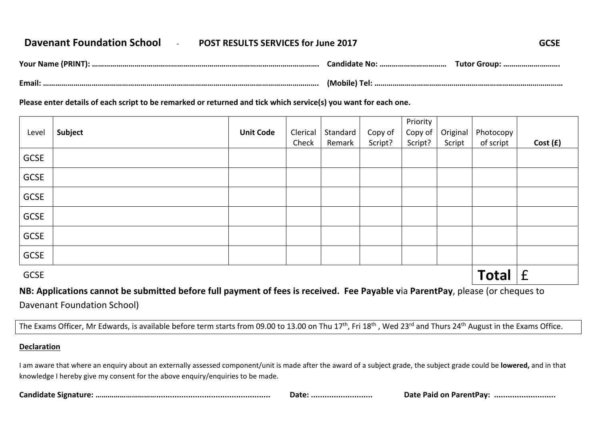## **Davenant Foundation School** ‐ **POST RESULTS SERVICES for June 2017 GCSE**

| Your Name<br>. | andid.<br>       | Futor Group: |
|----------------|------------------|--------------|
| Email:         | (Mobile)<br>ו בו |              |

**Please enter details of each script to be remarked or returned and tick which service(s) you want for each one.** 

| Level       | Subject | <b>Unit Code</b> | Clerical<br>Check | Standard<br>Remark | Copy of<br>Script? | Priority<br>Copy of<br>Script? | Original<br>Script | Photocopy<br>of script | Cost (£) |
|-------------|---------|------------------|-------------------|--------------------|--------------------|--------------------------------|--------------------|------------------------|----------|
| <b>GCSE</b> |         |                  |                   |                    |                    |                                |                    |                        |          |
| <b>GCSE</b> |         |                  |                   |                    |                    |                                |                    |                        |          |
| GCSE        |         |                  |                   |                    |                    |                                |                    |                        |          |
| <b>GCSE</b> |         |                  |                   |                    |                    |                                |                    |                        |          |
| GCSE        |         |                  |                   |                    |                    |                                |                    |                        |          |
| <b>GCSE</b> |         |                  |                   |                    |                    |                                |                    |                        |          |
| <b>GCSE</b> |         |                  |                   |                    |                    |                                | <b>Total</b>       | f                      |          |

## **NB: Applications cannot be submitted before full payment of fees is received. Fee Payable v**ia **ParentPay**, please (or cheques to Davenant Foundation School)

The Exams Officer, Mr Edwards, is available before term starts from 09.00 to 13.00 on Thu 17<sup>th</sup>, Fri 18<sup>th</sup>, Wed 23<sup>rd</sup> and Thurs 24<sup>th</sup> August in the Exams Office.

## **Declaration**

I am aware that where an enquiry about an externally assessed component/unit is made after the award of a subject grade, the subject grade could be **lowered,** and in that knowledge I hereby give my consent for the above enquiry/enquiries to be made.

| Candidate<br>signatur. | Date | м Пан<br><br>vau<br>- о не<br>$\sim$ $\sim$<br>. пі<br>. |
|------------------------|------|----------------------------------------------------------|
|------------------------|------|----------------------------------------------------------|